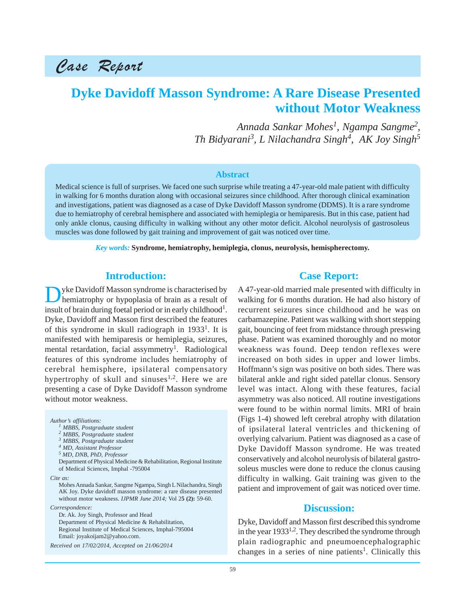Case Report

# **Dyke Davidoff Masson Syndrome: A Rare Disease Presented without Motor Weakness**

*Annada Sankar Mohes1 , Ngampa Sangme2 , Th Bidyarani3, L Nilachandra Singh4 , AK Joy Singh<sup>5</sup>*

#### **Abstract**

Medical science is full of surprises. We faced one such surprise while treating a 47-year-old male patient with difficulty in walking for 6 months duration along with occasional seizures since childhood. After thorough clinical examination and investigations, patient was diagnosed as a case of Dyke Davidoff Masson syndrome (DDMS). It is a rare syndrome due to hemiatrophy of cerebral hemisphere and associated with hemiplegia or hemiparesis. But in this case, patient had only ankle clonus, causing difficulty in walking without any other motor deficit. Alcohol neurolysis of gastrosoleus muscles was done followed by gait training and improvement of gait was noticed over time.

*Key words:* **Syndrome, hemiatrophy, hemiplegia, clonus, neurolysis, hemispherectomy.**

## **Introduction:**

Dyke Davidoff Masson syndrome is characterised by<br>hemiatrophy or hypoplasia of brain as a result of insult of brain during foetal period or in early childhood<sup>1</sup>. Dyke, Davidoff and Masson first described the features of this syndrome in skull radiograph in  $1933<sup>1</sup>$ . It is manifested with hemiparesis or hemiplegia, seizures, mental retardation, facial assymmetry<sup>1</sup>. Radiological features of this syndrome includes hemiatrophy of cerebral hemisphere, ipsilateral compensatory hypertrophy of skull and sinuses<sup>1,2</sup>. Here we are presenting a case of Dyke Davidoff Masson syndrome without motor weakness.

*Author's affiliations: 1 MBBS, Postgraduate student 2 MBBS, Postgraduate student 3 MBBS, Postgraduate student 4 MD, Assistant Professor 5 MD, DNB, PhD, Professor* Department of Physical Medicine & Rehabilitation, Regional Institute of Medical Sciences, Imphal -795004 *Cite as:* Mohes Annada Sankar, Sangme Ngampa, Singh L Nilachandra, Singh AK Joy. Dyke davidoff masson syndrome: a rare disease presented without motor weakness. *IJPMR June 2014;* Vol 2**5 (2):** 59-60. *Correspondence:* Dr. Ak. Joy Singh, Professor and Head Department of Physical Medicine & Rehabilitation,

Regional Institute of Medical Sciences, Imphal-795004 Email: joyakoijam2@yahoo.com.

*Received on 17/02/2014, Accepted on 21/06/2014*

#### **Case Report:**

A 47-year-old married male presented with difficulty in walking for 6 months duration. He had also history of recurrent seizures since childhood and he was on carbamazepine. Patient was walking with short stepping gait, bouncing of feet from midstance through preswing phase. Patient was examined thoroughly and no motor weakness was found. Deep tendon reflexes were increased on both sides in upper and lower limbs. Hoffmann's sign was positive on both sides. There was bilateral ankle and right sided patellar clonus. Sensory level was intact. Along with these features, facial asymmetry was also noticed. All routine investigations were found to be within normal limits. MRI of brain (Figs 1-4) showed left cerebral atrophy with dilatation of ipsilateral lateral ventricles and thickening of overlying calvarium. Patient was diagnosed as a case of Dyke Davidoff Masson syndrome. He was treated conservatively and alcohol neurolysis of bilateral gastrosoleus muscles were done to reduce the clonus causing difficulty in walking. Gait training was given to the patient and improvement of gait was noticed over time.

# **Discussion:**

Dyke, Davidoff and Masson first described this syndrome in the year  $1933^{1,2}$ . They described the syndrome through plain radiographic and pneumoencephalographic changes in a series of nine patients<sup>1</sup>. Clinically this